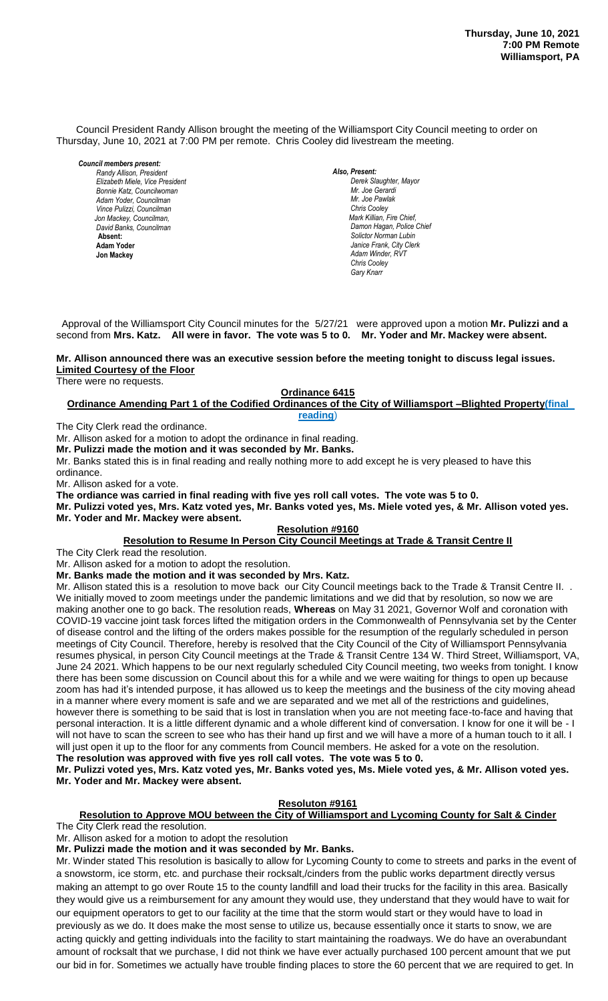Council President Randy Allison brought the meeting of the Williamsport City Council meeting to order on Thursday, June 10, 2021 at 7:00 PM per remote. Chris Cooley did livestream the meeting.

*Council members present: Randy Allison, President , President Elizabeth Miele, Vice President Bill Hall, Councilman Bonnie Katz, Councilwoman Adam Yoder, Councilman Vince Pulizzi, Councilman Jon Mackey, Councilman, David Banks, Councilman*  **Absent: Adam Yoder Jon Mackey**

*Also, Present: Derek Slaughter, Mayor Mr. Joe Gerardi Mr. Joseph Pawlak Mr. Joe Pawlak Chris Cooley Mark Killian, Fire Chief,* **Damon Hagan, Police Chief** *Solictor Norman Lubin Janice Frank, City Clerk Adam Winder, RVT Chris Cooley Gary Knarr*

 Approval of the Williamsport City Council minutes for the 5/27/21 were approved upon a motion **Mr. Pulizzi and a** second from **Mrs. Katz. All were in favor. The vote was 5 to 0. Mr. Yoder and Mr. Mackey were absent.**

# Mr. Allison announced there was an executive session before the meeting tonight to discuss legal issues. **Limited Courtesy of the Floor**

There were no requests.

## **Ordinance 6415**

**Ordinance Amending Part 1 of the Codified Ordinances of the City of Williamsport –Blighted Property(final reading**) *Dave Young, Police Chief Chief Heinbach absent Sol. J. David Smith*

The City Clerk read the ordinance. 

Mr. Allison asked for a motion to adopt the ordinance in final reading.

**Mr. Pulizzi made the motion and it was seconded by Mr. Banks.**

mr. Funzzi made the motion and it was seconded by inf. Banks.<br>Mr. Banks stated this is in final reading and really nothing more to add except he is very pleased to have this ordinance.

Mr. Allison asked for a vote.

**The ordiance was carried in final reading with five yes roll call votes. The vote was 5 to 0.** 

**Mr. Pulizzi voted yes, Mrs. Katz voted yes, Mr. Banks voted yes, Ms. Miele voted yes, & Mr. Allison voted yes.**  *Members of News Media*

# **Mr. Yoder and Mr. Mackey were absent.**

## **Resolution #9160**

**Resolution to Resume In Person City Council Meetings at Trade & Transit Centre II**

The City Clerk read the resolution.

Mr. Allison asked for a motion to adopt the resolution.

**Mr. Banks made the motion and it was seconded by Mrs. Katz.**

Mr. Allison stated this is a resolution to move back our City Council meetings back to the Trade & Transit Centre II. . We initially moved to zoom meetings under the pandemic limitations and we did that by resolution, so now we are making another one to go back. The resolution reads, **Whereas** on May 31 2021, Governor Wolf and coronation with COVID-19 vaccine joint task forces lifted the mitigation orders in the Commonwealth of Pennsylvania set by the Center of disease control and the lifting of the orders makes possible for the resumption of the regularly scheduled in person meetings of City Council. Therefore, hereby is resolved that the City Council of the City of Williamsport Pennsylvania resumes physical, in person City Council meetings at the Trade & Transit Centre 134 W. Third Street, Williamsport, VA, June 24 2021. Which happens to be our next regularly scheduled City Council meeting, two weeks from tonight. I know there has been some discussion on Council about this for a while and we were waiting for things to open up because zoom has had it's intended purpose, it has allowed us to keep the meetings and the business of the city moving ahead in a manner where every moment is safe and we are separated and we met all of the restrictions and guidelines, however there is something to be said that is lost in translation when you are not meeting face-to-face and having that personal interaction. It is a little different dynamic and a whole different kind of conversation. I know for one it will be - I will not have to scan the screen to see who has their hand up first and we will have a more of a human touch to it all. I will just open it up to the floor for any comments from Council members. He asked for a vote on the resolution. **The resolution was approved with five yes roll call votes. The vote was 5 to 0.** 

**Mr. Pulizzi voted yes, Mrs. Katz voted yes, Mr. Banks voted yes, Ms. Miele voted yes, & Mr. Allison voted yes. Mr. Yoder and Mr. Mackey were absent.**

#### **Resoluton #9161**

**Resolution to Approve MOU between the City of Williamsport and Lycoming County for Salt & Cinder** The City Clerk read the resolution.

Mr. Allison asked for a motion to adopt the resolution

**Mr. Pulizzi made the motion and it was seconded by Mr. Banks.**

Mr. Winder stated This resolution is basically to allow for Lycoming County to come to streets and parks in the event of a snowstorm, ice storm, etc. and purchase their rocksalt,/cinders from the public works department directly versus making an attempt to go over Route 15 to the county landfill and load their trucks for the facility in this area. Basically they would give us a reimbursement for any amount they would use, they understand that they would have to wait for our equipment operators to get to our facility at the time that the storm would start or they would have to load in previously as we do. It does make the most sense to utilize us, because essentially once it starts to snow, we are acting quickly and getting individuals into the facility to start maintaining the roadways. We do have an overabundant amount of rocksalt that we purchase, I did not think we have ever actually purchased 100 percent amount that we put our bid in for. Sometimes we actually have trouble finding places to store the 60 percent that we are required to get. In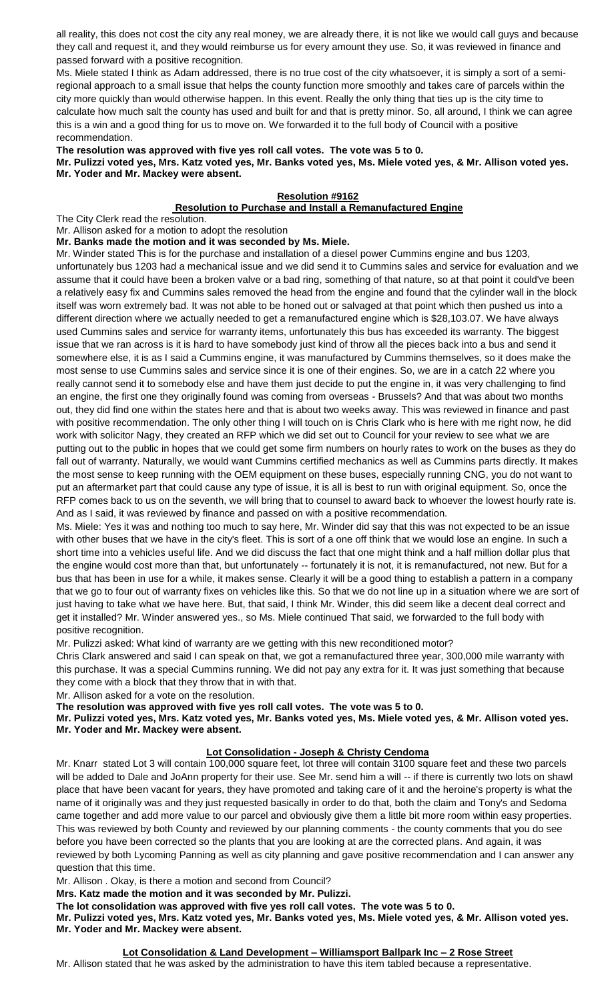all reality, this does not cost the city any real money, we are already there, it is not like we would call guys and because they call and request it, and they would reimburse us for every amount they use. So, it was reviewed in finance and passed forward with a positive recognition.

Ms. Miele stated I think as Adam addressed, there is no true cost of the city whatsoever, it is simply a sort of a semiregional approach to a small issue that helps the county function more smoothly and takes care of parcels within the city more quickly than would otherwise happen. In this event. Really the only thing that ties up is the city time to calculate how much salt the county has used and built for and that is pretty minor. So, all around, I think we can agree this is a win and a good thing for us to move on. We forwarded it to the full body of Council with a positive recommendation.

# **The resolution was approved with five yes roll call votes. The vote was 5 to 0.**

**Mr. Pulizzi voted yes, Mrs. Katz voted yes, Mr. Banks voted yes, Ms. Miele voted yes, & Mr. Allison voted yes. Mr. Yoder and Mr. Mackey were absent.**

# **Resolution #9162**

## **Resolution to Purchase and Install a Remanufactured Engine**

The City Clerk read the resolution.

Mr. Allison asked for a motion to adopt the resolution

**Mr. Banks made the motion and it was seconded by Ms. Miele.**

Mr. Winder stated This is for the purchase and installation of a diesel power Cummins engine and bus 1203, unfortunately bus 1203 had a mechanical issue and we did send it to Cummins sales and service for evaluation and we assume that it could have been a broken valve or a bad ring, something of that nature, so at that point it could've been a relatively easy fix and Cummins sales removed the head from the engine and found that the cylinder wall in the block itself was worn extremely bad. It was not able to be honed out or salvaged at that point which then pushed us into a different direction where we actually needed to get a remanufactured engine which is \$28,103.07. We have always used Cummins sales and service for warranty items, unfortunately this bus has exceeded its warranty. The biggest issue that we ran across is it is hard to have somebody just kind of throw all the pieces back into a bus and send it somewhere else, it is as I said a Cummins engine, it was manufactured by Cummins themselves, so it does make the most sense to use Cummins sales and service since it is one of their engines. So, we are in a catch 22 where you really cannot send it to somebody else and have them just decide to put the engine in, it was very challenging to find an engine, the first one they originally found was coming from overseas - Brussels? And that was about two months out, they did find one within the states here and that is about two weeks away. This was reviewed in finance and past with positive recommendation. The only other thing I will touch on is Chris Clark who is here with me right now, he did work with solicitor Nagy, they created an RFP which we did set out to Council for your review to see what we are putting out to the public in hopes that we could get some firm numbers on hourly rates to work on the buses as they do fall out of warranty. Naturally, we would want Cummins certified mechanics as well as Cummins parts directly. It makes the most sense to keep running with the OEM equipment on these buses, especially running CNG, you do not want to put an aftermarket part that could cause any type of issue, it is all is best to run with original equipment. So, once the RFP comes back to us on the seventh, we will bring that to counsel to award back to whoever the lowest hourly rate is. And as I said, it was reviewed by finance and passed on with a positive recommendation.

Ms. Miele: Yes it was and nothing too much to say here, Mr. Winder did say that this was not expected to be an issue with other buses that we have in the city's fleet. This is sort of a one off think that we would lose an engine. In such a short time into a vehicles useful life. And we did discuss the fact that one might think and a half million dollar plus that the engine would cost more than that, but unfortunately -- fortunately it is not, it is remanufactured, not new. But for a bus that has been in use for a while, it makes sense. Clearly it will be a good thing to establish a pattern in a company that we go to four out of warranty fixes on vehicles like this. So that we do not line up in a situation where we are sort of just having to take what we have here. But, that said, I think Mr. Winder, this did seem like a decent deal correct and get it installed? Mr. Winder answered yes., so Ms. Miele continued That said, we forwarded to the full body with positive recognition.

Mr. Pulizzi asked: What kind of warranty are we getting with this new reconditioned motor?

Chris Clark answered and said I can speak on that, we got a remanufactured three year, 300,000 mile warranty with this purchase. It was a special Cummins running. We did not pay any extra for it. It was just something that because they come with a block that they throw that in with that.

Mr. Allison asked for a vote on the resolution.

**The resolution was approved with five yes roll call votes. The vote was 5 to 0.** 

**Mr. Pulizzi voted yes, Mrs. Katz voted yes, Mr. Banks voted yes, Ms. Miele voted yes, & Mr. Allison voted yes. Mr. Yoder and Mr. Mackey were absent.**

# **Lot Consolidation - Joseph & Christy Cendoma**

Mr. Knarr stated Lot 3 will contain 100,000 square feet, lot three will contain 3100 square feet and these two parcels will be added to Dale and JoAnn property for their use. See Mr. send him a will -- if there is currently two lots on shawl place that have been vacant for years, they have promoted and taking care of it and the heroine's property is what the name of it originally was and they just requested basically in order to do that, both the claim and Tony's and Sedoma came together and add more value to our parcel and obviously give them a little bit more room within easy properties. This was reviewed by both County and reviewed by our planning comments - the county comments that you do see before you have been corrected so the plants that you are looking at are the corrected plans. And again, it was reviewed by both Lycoming Panning as well as city planning and gave positive recommendation and I can answer any question that this time.

Mr. Allison . Okay, is there a motion and second from Council?

**Mrs. Katz made the motion and it was seconded by Mr. Pulizzi.**

**The lot consolidation was approved with five yes roll call votes. The vote was 5 to 0.** 

**Mr. Pulizzi voted yes, Mrs. Katz voted yes, Mr. Banks voted yes, Ms. Miele voted yes, & Mr. Allison voted yes. Mr. Yoder and Mr. Mackey were absent.**

**Lot Consolidation & Land Development – Williamsport Ballpark Inc – 2 Rose Street** Mr. Allison stated that he was asked by the administration to have this item tabled because a representative.